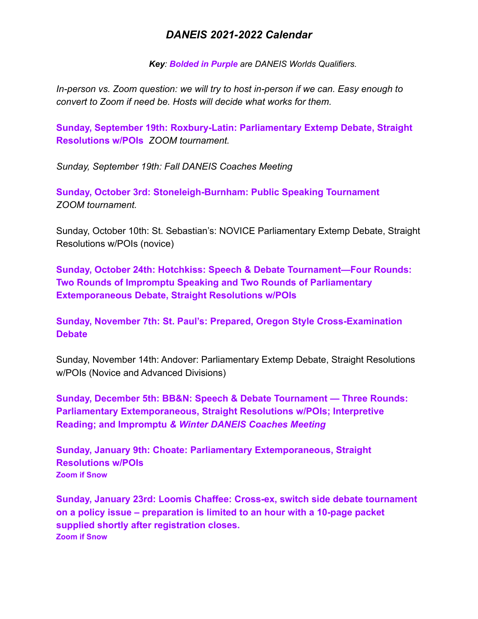## *DANEIS 2021-2022 Calendar*

*Key: Bolded in Purple are DANEIS Worlds Qualifiers.*

*In-person vs. Zoom question: we will try to host in-person if we can. Easy enough to convert to Zoom if need be. Hosts will decide what works for them.*

**Sunday, September 19th: Roxbury-Latin: Parliamentary Extemp Debate, Straight Resolutions w/POIs** *ZOOM tournament.*

*Sunday, September 19th: Fall DANEIS Coaches Meeting*

**Sunday, October 3rd: Stoneleigh-Burnham: Public Speaking Tournament** *ZOOM tournament.*

Sunday, October 10th: St. Sebastian's: NOVICE Parliamentary Extemp Debate, Straight Resolutions w/POIs (novice)

**Sunday, October 24th: Hotchkiss: Speech & Debate Tournament—Four Rounds: Two Rounds of Impromptu Speaking and Two Rounds of Parliamentary Extemporaneous Debate, Straight Resolutions w/POIs**

**Sunday, November 7th: St. Paul's: Prepared, Oregon Style Cross-Examination Debate**

Sunday, November 14th: Andover: Parliamentary Extemp Debate, Straight Resolutions w/POIs (Novice and Advanced Divisions)

**Sunday, December 5th: BB&N: Speech & Debate Tournament — Three Rounds: Parliamentary Extemporaneous, Straight Resolutions w/POIs; Interpretive Reading; and Impromptu** *& Winter DANEIS Coaches Meeting*

**Sunday, January 9th: Choate: Parliamentary Extemporaneous, Straight Resolutions w/POIs Zoom if Snow**

**Sunday, January 23rd: Loomis Chaffee: Cross-ex, switch side debate tournament on a policy issue – preparation is limited to an hour with a 10-page packet supplied shortly after registration closes. Zoom if Snow**